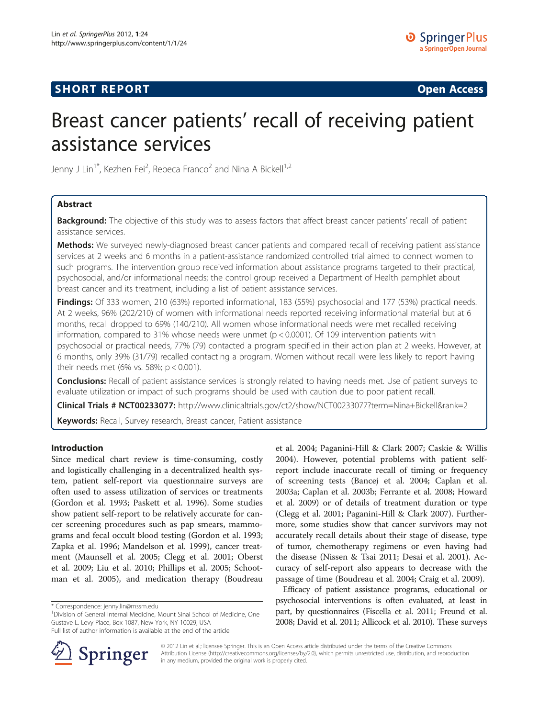## **SHORT REPORT SHORT CONSUMING THE CONSUMING THE CONSUMING THE CONSUMING THE CONSUMING THE CONSUMING THE CONSUMING THE CONSUMING THE CONSUMING THE CONSUMING THE CONSUMING THE CONSUMING THE CONSUMING THE CONSUMING THE CO**

# Breast cancer patients' recall of receiving patient assistance services

Jenny J Lin $^{\rm 1*}$ , Kezhen Fei $^{\rm 2}$ , Rebeca Franco $^{\rm 2}$  and Nina A Bickell $^{\rm 1,2}$ 

## Abstract

**Background:** The objective of this study was to assess factors that affect breast cancer patients' recall of patient assistance services.

Methods: We surveyed newly-diagnosed breast cancer patients and compared recall of receiving patient assistance services at 2 weeks and 6 months in a patient-assistance randomized controlled trial aimed to connect women to such programs. The intervention group received information about assistance programs targeted to their practical, psychosocial, and/or informational needs; the control group received a Department of Health pamphlet about breast cancer and its treatment, including a list of patient assistance services.

Findings: Of 333 women, 210 (63%) reported informational, 183 (55%) psychosocial and 177 (53%) practical needs. At 2 weeks, 96% (202/210) of women with informational needs reported receiving informational material but at 6 months, recall dropped to 69% (140/210). All women whose informational needs were met recalled receiving information, compared to 31% whose needs were unmet ( $p < 0.0001$ ). Of 109 intervention patients with psychosocial or practical needs, 77% (79) contacted a program specified in their action plan at 2 weeks. However, at 6 months, only 39% (31/79) recalled contacting a program. Women without recall were less likely to report having their needs met (6% vs. 58%; p < 0.001).

Conclusions: Recall of patient assistance services is strongly related to having needs met. Use of patient surveys to evaluate utilization or impact of such programs should be used with caution due to poor patient recall.

Clinical Trials # NCT00233077: http://www.clinicaltrials.gov/ct2/show/NCT00233077?term=Nina+Bickell&rank=2

Keywords: Recall, Survey research, Breast cancer, Patient assistance

## Introduction

Since medical chart review is time-consuming, costly and logistically challenging in a decentralized health system, patient self-report via questionnaire surveys are often used to assess utilization of services or treatments (Gordon et al. [1993;](#page-4-0) Paskett et al. [1996\)](#page-4-0). Some studies show patient self-report to be relatively accurate for cancer screening procedures such as pap smears, mammograms and fecal occult blood testing (Gordon et al. [1993](#page-4-0); Zapka et al. [1996;](#page-4-0) Mandelson et al. [1999\)](#page-4-0), cancer treatment (Maunsell et al. [2005;](#page-4-0) Clegg et al. [2001;](#page-3-0) Oberst et al. [2009;](#page-4-0) Liu et al. [2010;](#page-4-0) Phillips et al. [2005;](#page-4-0) Schootman et al. [2005](#page-4-0)), and medication therapy (Boudreau

<sup>1</sup> Division of General Internal Medicine, Mount Sinai School of Medicine, One Gustave L. Levy Place, Box 1087, New York, NY 10029, USA Full list of author information is available at the end of the article

[2004](#page-3-0)). However, potential problems with patient selfreport include inaccurate recall of timing or frequency of screening tests (Bancej et al. [2004;](#page-3-0) Caplan et al. [2003a;](#page-3-0) Caplan et al. [2003b](#page-3-0); Ferrante et al. [2008](#page-4-0); Howard et al. [2009\)](#page-4-0) or of details of treatment duration or type (Clegg et al. [2001](#page-3-0); Paganini-Hill & Clark [2007\)](#page-4-0). Furthermore, some studies show that cancer survivors may not accurately recall details about their stage of disease, type of tumor, chemotherapy regimens or even having had the disease (Nissen & Tsai [2011;](#page-4-0) Desai et al. [2001\)](#page-4-0). Accuracy of self-report also appears to decrease with the passage of time (Boudreau et al. [2004](#page-3-0); Craig et al. [2009](#page-4-0)).

et al. [2004](#page-3-0); Paganini-Hill & Clark [2007;](#page-4-0) Caskie & Willis

Efficacy of patient assistance programs, educational or psychosocial interventions is often evaluated, at least in part, by questionnaires (Fiscella et al. [2011;](#page-4-0) Freund et al. [2008;](#page-4-0) David et al. [2011;](#page-4-0) Allicock et al. [2010](#page-3-0)). These surveys



© 2012 Lin et al.; licensee Springer. This is an Open Access article distributed under the terms of the Creative Commons Attribution License [\(http://creativecommons.org/licenses/by/2.0\)](http://creativecommons.org/licenses/by/2.0), which permits unrestricted use, distribution, and reproduction in any medium, provided the original work is properly cited.

<sup>\*</sup> Correspondence: [jenny.lin@mssm.edu](mailto:jenny.lin@mssm.edu) <sup>1</sup>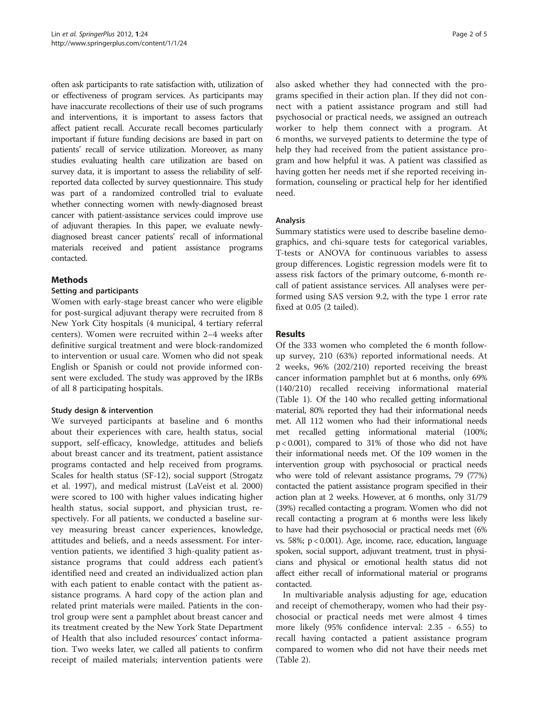often ask participants to rate satisfaction with, utilization of or effectiveness of program services. As participants may have inaccurate recollections of their use of such programs and interventions, it is important to assess factors that affect patient recall. Accurate recall becomes particularly important if future funding decisions are based in part on patients' recall of service utilization. Moreover, as many studies evaluating health care utilization are based on survey data, it is important to assess the reliability of selfreported data collected by survey questionnaire. This study was part of a randomized controlled trial to evaluate whether connecting women with newly-diagnosed breast cancer with patient-assistance services could improve use of adjuvant therapies. In this paper, we evaluate newlydiagnosed breast cancer patients' recall of informational materials received and patient assistance programs contacted.

## Methods

## Setting and participants

Women with early-stage breast cancer who were eligible for post-surgical adjuvant therapy were recruited from 8 New York City hospitals (4 municipal, 4 tertiary referral centers). Women were recruited within 2–4 weeks after definitive surgical treatment and were block-randomized to intervention or usual care. Women who did not speak English or Spanish or could not provide informed consent were excluded. The study was approved by the IRBs of all 8 participating hospitals.

## Study design & intervention

We surveyed participants at baseline and 6 months about their experiences with care, health status, social support, self-efficacy, knowledge, attitudes and beliefs about breast cancer and its treatment, patient assistance programs contacted and help received from programs. Scales for health status (SF-12), social support (Strogatz et al. [1997\)](#page-4-0), and medical mistrust (LaVeist et al. [2000](#page-4-0)) were scored to 100 with higher values indicating higher health status, social support, and physician trust, respectively. For all patients, we conducted a baseline survey measuring breast cancer experiences, knowledge, attitudes and beliefs, and a needs assessment. For intervention patients, we identified 3 high-quality patient assistance programs that could address each patient's identified need and created an individualized action plan with each patient to enable contact with the patient assistance programs. A hard copy of the action plan and related print materials were mailed. Patients in the control group were sent a pamphlet about breast cancer and its treatment created by the New York State Department of Health that also included resources' contact information. Two weeks later, we called all patients to confirm receipt of mailed materials; intervention patients were

also asked whether they had connected with the programs specified in their action plan. If they did not connect with a patient assistance program and still had psychosocial or practical needs, we assigned an outreach worker to help them connect with a program. At 6 months, we surveyed patients to determine the type of help they had received from the patient assistance program and how helpful it was. A patient was classified as having gotten her needs met if she reported receiving information, counseling or practical help for her identified need.

## Analysis

Summary statistics were used to describe baseline demographics, and chi-square tests for categorical variables, T-tests or ANOVA for continuous variables to assess group differences. Logistic regression models were fit to assess risk factors of the primary outcome, 6-month recall of patient assistance services. All analyses were performed using SAS version 9.2, with the type 1 error rate fixed at 0.05 (2 tailed).

## Results

Of the 333 women who completed the 6 month followup survey, 210 (63%) reported informational needs. At 2 weeks, 96% (202/210) reported receiving the breast cancer information pamphlet but at 6 months, only 69% (140/210) recalled receiving informational material (Table [1\)](#page-2-0). Of the 140 who recalled getting informational material, 80% reported they had their informational needs met. All 112 women who had their informational needs met recalled getting informational material (100%; p < 0.001), compared to 31% of those who did not have their informational needs met. Of the 109 women in the intervention group with psychosocial or practical needs who were told of relevant assistance programs, 79 (77%) contacted the patient assistance program specified in their action plan at 2 weeks. However, at 6 months, only 31/79 (39%) recalled contacting a program. Women who did not recall contacting a program at 6 months were less likely to have had their psychosocial or practical needs met (6% vs. 58%; p < 0.001). Age, income, race, education, language spoken, social support, adjuvant treatment, trust in physicians and physical or emotional health status did not affect either recall of informational material or programs contacted.

In multivariable analysis adjusting for age, education and receipt of chemotherapy, women who had their psychosocial or practical needs met were almost 4 times more likely (95% confidence interval: 2.35 - 6.55) to recall having contacted a patient assistance program compared to women who did not have their needs met (Table [2\)](#page-2-0).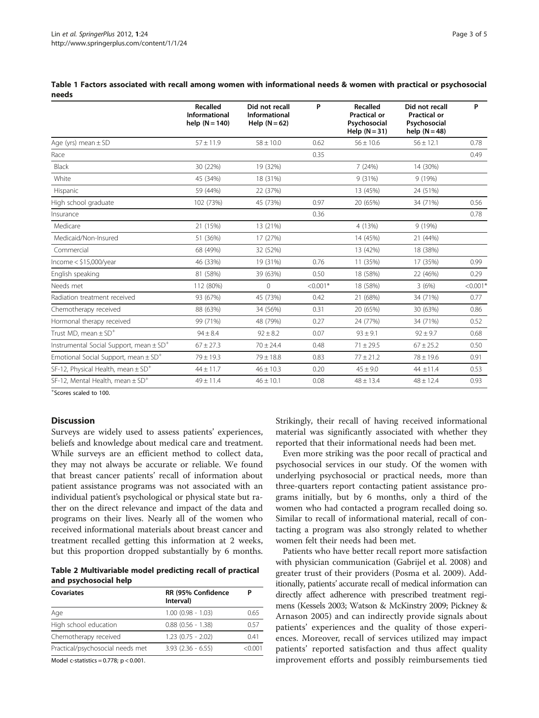<span id="page-2-0"></span>Table 1 Factors associated with recall among women with informational needs & women with practical or psychosocial needs

|                                                         | Recalled<br>Informational<br>help $(N = 140)$ | Did not recall<br><b>Informational</b><br>Help $(N = 62)$ | P          | Recalled<br><b>Practical or</b><br>Psychosocial<br>Help $(N = 31)$ | Did not recall<br><b>Practical or</b><br>Psychosocial<br>help $(N = 48)$ | P          |
|---------------------------------------------------------|-----------------------------------------------|-----------------------------------------------------------|------------|--------------------------------------------------------------------|--------------------------------------------------------------------------|------------|
| Age (yrs) mean $\pm$ SD                                 | $57 \pm 11.9$                                 | $58 \pm 10.0$                                             | 0.62       | $56 \pm 10.6$                                                      | $56 \pm 12.1$                                                            | 0.78       |
| Race                                                    |                                               |                                                           | 0.35       |                                                                    |                                                                          | 0.49       |
| Black                                                   | 30 (22%)                                      | 19 (32%)                                                  |            | 7(24%)                                                             | 14 (30%)                                                                 |            |
| White                                                   | 45 (34%)                                      | 18 (31%)                                                  |            | 9(31%)                                                             | 9(19%)                                                                   |            |
| Hispanic                                                | 59 (44%)                                      | 22 (37%)                                                  |            | 13 (45%)                                                           | 24 (51%)                                                                 |            |
| High school graduate                                    | 102 (73%)                                     | 45 (73%)                                                  | 0.97       | 20 (65%)                                                           | 34 (71%)                                                                 | 0.56       |
| Insurance                                               |                                               |                                                           | 0.36       |                                                                    |                                                                          | 0.78       |
| Medicare                                                | 21 (15%)                                      | 13 (21%)                                                  |            | 4 (13%)                                                            | 9(19%)                                                                   |            |
| Medicaid/Non-Insured                                    | 51 (36%)                                      | 17 (27%)                                                  |            | 14 (45%)                                                           | 21 (44%)                                                                 |            |
| Commercial                                              | 68 (49%)                                      | 32 (52%)                                                  |            | 13 (42%)                                                           | 18 (38%)                                                                 |            |
| Income $<$ \$15,000/year                                | 46 (33%)                                      | 19 (31%)                                                  | 0.76       | 11 (35%)                                                           | 17 (35%)                                                                 | 0.99       |
| English speaking                                        | 81 (58%)                                      | 39 (63%)                                                  | 0.50       | 18 (58%)                                                           | 22 (46%)                                                                 | 0.29       |
| Needs met                                               | 112 (80%)                                     | $\Omega$                                                  | $< 0.001*$ | 18 (58%)                                                           | 3(6%)                                                                    | $< 0.001*$ |
| Radiation treatment received                            | 93 (67%)                                      | 45 (73%)                                                  | 0.42       | 21 (68%)                                                           | 34 (71%)                                                                 | 0.77       |
| Chemotherapy received                                   | 88 (63%)                                      | 34 (56%)                                                  | 0.31       | 20 (65%)                                                           | 30 (63%)                                                                 | 0.86       |
| Hormonal therapy received                               | 99 (71%)                                      | 48 (79%)                                                  | 0.27       | 24 (77%)                                                           | 34 (71%)                                                                 | 0.52       |
| Trust MD, mean $\pm$ SD <sup>+</sup>                    | $94 + 8.4$                                    | $92 \pm 8.2$                                              | 0.07       | $93 \pm 9.1$                                                       | $92 \pm 9.7$                                                             | 0.68       |
| Instrumental Social Support, mean $\pm$ SD <sup>+</sup> | $67 \pm 27.3$                                 | $70 \pm 24.4$                                             | 0.48       | $71 \pm 29.5$                                                      | $67 \pm 25.2$                                                            | 0.50       |
| Emotional Social Support, mean $\pm$ SD <sup>+</sup>    | $79 \pm 19.3$                                 | $79 \pm 18.8$                                             | 0.83       | $77 \pm 21.2$                                                      | $78 \pm 19.6$                                                            | 0.91       |
| SF-12, Physical Health, mean $\pm$ SD <sup>+</sup>      | $44 \pm 11.7$                                 | $46 \pm 10.3$                                             | 0.20       | $45 \pm 9.0$                                                       | $44 \pm 11.4$                                                            | 0.53       |
| SF-12, Mental Health, mean $\pm$ SD <sup>+</sup>        | $49 \pm 11.4$                                 | $46 \pm 10.1$                                             | 0.08       | $48 \pm 13.4$                                                      | $48 \pm 12.4$                                                            | 0.93       |

+ Scores scaled to 100.

### **Discussion**

Surveys are widely used to assess patients' experiences, beliefs and knowledge about medical care and treatment. While surveys are an efficient method to collect data, they may not always be accurate or reliable. We found that breast cancer patients' recall of information about patient assistance programs was not associated with an individual patient's psychological or physical state but rather on the direct relevance and impact of the data and programs on their lives. Nearly all of the women who received informational materials about breast cancer and treatment recalled getting this information at 2 weeks, but this proportion dropped substantially by 6 months.

Table 2 Multivariable model predicting recall of practical and psychosocial help

| Covariates                       | RR (95% Confidence<br>Interval) | Ρ      |
|----------------------------------|---------------------------------|--------|
| Age                              | $1.00$ (0.98 - 1.03)            | 065    |
| High school education            | $0.88$ $(0.56 - 1.38)$          | O 57   |
| Chemotherapy received            | $1.23$ (0.75 - 2.02)            | 041    |
| Practical/psychosocial needs met | $3.93$ $(2.36 - 6.55)$          | <0.001 |

Model c-statistics = 0.778; p < 0.001.

Strikingly, their recall of having received informational material was significantly associated with whether they reported that their informational needs had been met.

Even more striking was the poor recall of practical and psychosocial services in our study. Of the women with underlying psychosocial or practical needs, more than three-quarters report contacting patient assistance programs initially, but by 6 months, only a third of the women who had contacted a program recalled doing so. Similar to recall of informational material, recall of contacting a program was also strongly related to whether women felt their needs had been met.

Patients who have better recall report more satisfaction with physician communication (Gabrijel et al. [2008\)](#page-4-0) and greater trust of their providers (Posma et al. [2009\)](#page-4-0). Additionally, patients' accurate recall of medical information can directly affect adherence with prescribed treatment regimens (Kessels [2003](#page-4-0); Watson & McKinstry [2009](#page-4-0); Pickney & Arnason [2005\)](#page-4-0) and can indirectly provide signals about patients' experiences and the quality of those experiences. Moreover, recall of services utilized may impact patients' reported satisfaction and thus affect quality improvement efforts and possibly reimbursements tied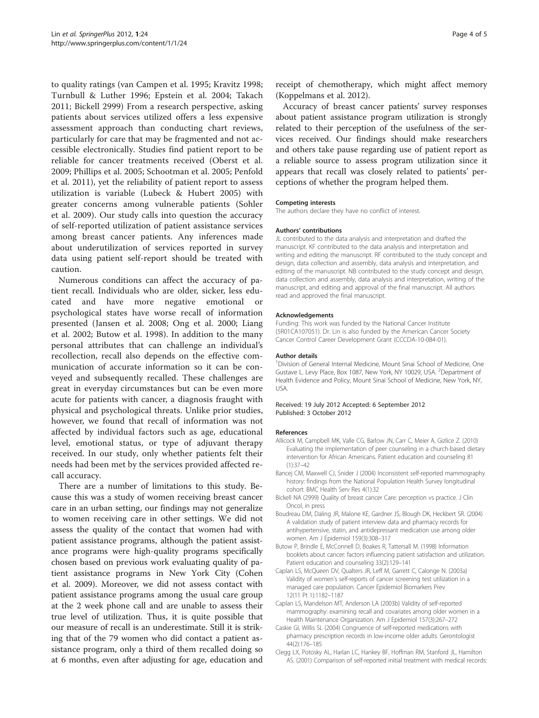<span id="page-3-0"></span>to quality ratings (van Campen et al. [1995;](#page-4-0) Kravitz [1998](#page-4-0); Turnbull & Luther [1996;](#page-4-0) Epstein et al. [2004;](#page-4-0) Takach [2011;](#page-4-0) Bickell 2999) From a research perspective, asking patients about services utilized offers a less expensive assessment approach than conducting chart reviews, particularly for care that may be fragmented and not accessible electronically. Studies find patient report to be reliable for cancer treatments received (Oberst et al. [2009;](#page-4-0) Phillips et al. [2005](#page-4-0); Schootman et al. [2005](#page-4-0); Penfold et al. [2011](#page-4-0)), yet the reliability of patient report to assess utilization is variable (Lubeck & Hubert [2005](#page-4-0)) with greater concerns among vulnerable patients (Sohler et al. [2009](#page-4-0)). Our study calls into question the accuracy of self-reported utilization of patient assistance services among breast cancer patients. Any inferences made about underutilization of services reported in survey data using patient self-report should be treated with caution.

Numerous conditions can affect the accuracy of patient recall. Individuals who are older, sicker, less educated and have more negative emotional or psychological states have worse recall of information presented (Jansen et al. [2008](#page-4-0); Ong et al. [2000;](#page-4-0) Liang et al. [2002;](#page-4-0) Butow et al. 1998). In addition to the many personal attributes that can challenge an individual's recollection, recall also depends on the effective communication of accurate information so it can be conveyed and subsequently recalled. These challenges are great in everyday circumstances but can be even more acute for patients with cancer, a diagnosis fraught with physical and psychological threats. Unlike prior studies, however, we found that recall of information was not affected by individual factors such as age, educational level, emotional status, or type of adjuvant therapy received. In our study, only whether patients felt their needs had been met by the services provided affected recall accuracy.

There are a number of limitations to this study. Because this was a study of women receiving breast cancer care in an urban setting, our findings may not generalize to women receiving care in other settings. We did not assess the quality of the contact that women had with patient assistance programs, although the patient assistance programs were high-quality programs specifically chosen based on previous work evaluating quality of patient assistance programs in New York City (Cohen et al. [2009](#page-4-0)). Moreover, we did not assess contact with patient assistance programs among the usual care group at the 2 week phone call and are unable to assess their true level of utilization. Thus, it is quite possible that our measure of recall is an underestimate. Still it is striking that of the 79 women who did contact a patient assistance program, only a third of them recalled doing so at 6 months, even after adjusting for age, education and

receipt of chemotherapy, which might affect memory (Koppelmans et al. [2012\)](#page-4-0).

Accuracy of breast cancer patients' survey responses about patient assistance program utilization is strongly related to their perception of the usefulness of the services received. Our findings should make researchers and others take pause regarding use of patient report as a reliable source to assess program utilization since it appears that recall was closely related to patients' perceptions of whether the program helped them.

#### Competing interests

The authors declare they have no conflict of interest.

#### Authors' contributions

JL contributed to the data analysis and interpretation and drafted the manuscript. KF contributed to the data analysis and interpretation and writing and editing the manuscript. RF contributed to the study concept and design, data collection and assembly, data analysis and interpretation, and editing of the manuscript. NB contributed to the study concept and design, data collection and assembly, data analysis and interpretation, writing of the manuscript, and editing and approval of the final manuscript. All authors read and approved the final manuscript.

#### Acknowledgements

Funding: This work was funded by the National Cancer Institute (5R01CA107051). Dr. Lin is also funded by the American Cancer Society Cancer Control Career Development Grant (CCCDA-10-084-01).

#### Author details

<sup>1</sup> Division of General Internal Medicine, Mount Sinai School of Medicine, One Gustave L. Levy Place, Box 1087, New York, NY 10029, USA. <sup>2</sup>Department of Health Evidence and Policy, Mount Sinai School of Medicine, New York, NY, USA.

#### Received: 19 July 2012 Accepted: 6 September 2012 Published: 3 October 2012

#### References

- Allicock M, Campbell MK, Valle CG, Barlow JN, Carr C, Meier A, Gizlice Z. (2010) Evaluating the implementation of peer counseling in a church-based dietary intervention for African Americans. Patient education and counseling 81 (1):37–42
- Bancej CM, Maxwell CJ, Snider J (2004) Inconsistent self-reported mammography history: findings from the National Population Health Survey longitudinal cohort. BMC Health Serv Res 4(1):32
- Bickell NA (2999) Quality of breast cancer Care: perception vs practice. J Clin Oncol, in press
- Boudreau DM, Daling JR, Malone KE, Gardner JS, Blough DK, Heckbert SR. (2004) A validation study of patient interview data and pharmacy records for antihypertensive, statin, and antidepressant medication use among older women. Am J Epidemiol 159(3):308–317
- Butow P, Brindle E, McConnell D, Boakes R, Tattersall M. (1998) Information booklets about cancer: factors influencing patient satisfaction and utilization. Patient education and counseling 33(2):129–141
- Caplan LS, McQueen DV, Qualters JR, Leff M, Garrett C, Calonge N. (2003a) Validity of women's self-reports of cancer screening test utilization in a managed care population. Cancer Epidemiol Biomarkers Prev 12(11 Pt 1):1182–1187
- Caplan LS, Mandelson MT, Anderson LA (2003b) Validity of self-reported mammography: examining recall and covariates among older women in a Health Maintenance Organization. Am J Epidemiol 157(3):267–272
- Caskie GI, Willis SL (2004) Congruence of self-reported medications with pharmacy prescription records in low-income older adults. Gerontologist 44(2):176–185
- Clegg LX, Potosky AL, Harlan LC, Hankey BF, Hoffman RM, Stanford JL, Hamilton AS. (2001) Comparison of self-reported initial treatment with medical records: